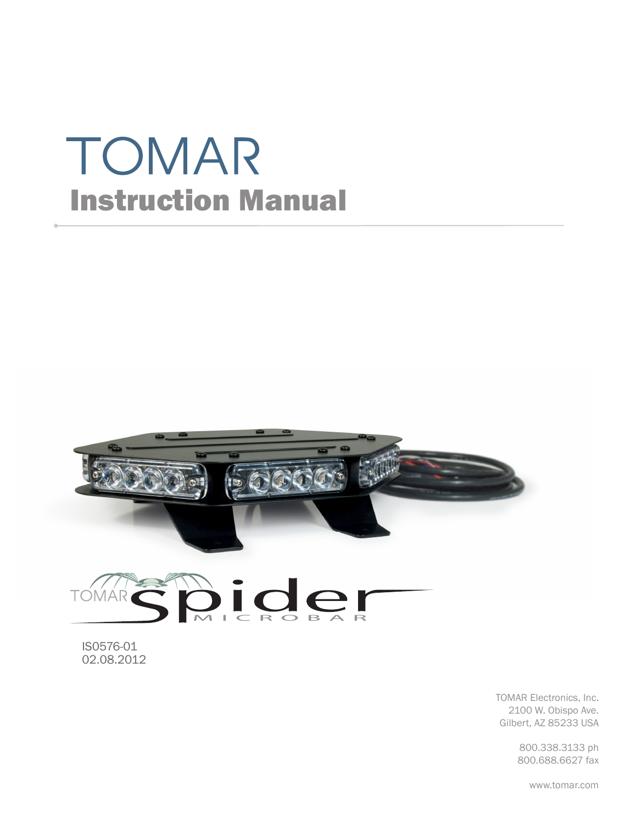# TOMAR Instruction Manual



**Dider TOM** AR

IS0576-01 02.08.2012

> TOMAR Electronics, Inc. 2100 W. Obispo Ave. Gilbert, AZ 85233 USA

> > 800.338.3133 ph 800.688.6627 fax

> > > www.tomar.com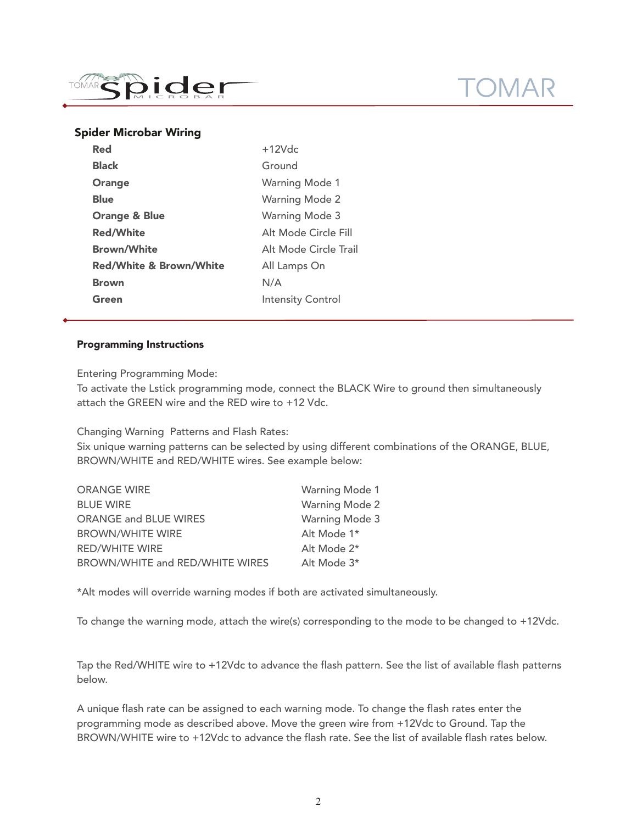

# $1 \bigtriangleup R$

## Spider Microbar Wiring

| $+12Vdc$                 |
|--------------------------|
| Ground                   |
| <b>Warning Mode 1</b>    |
| <b>Warning Mode 2</b>    |
| <b>Warning Mode 3</b>    |
| Alt Mode Circle Fill     |
| Alt Mode Circle Trail    |
| All Lamps On             |
| N/A                      |
| <b>Intensity Control</b> |
|                          |

### Programming Instructions

Entering Programming Mode:

To activate the Lstick programming mode, connect the BLACK Wire to ground then simultaneously attach the GREEN wire and the RED wire to +12 Vdc.

Changing Warning Patterns and Flash Rates:

Six unique warning patterns can be selected by using different combinations of the ORANGE, BLUE, BROWN/WHITE and RED/WHITE wires. See example below:

| <b>ORANGE WIRE</b>              | <b>Warning Mode 1</b> |
|---------------------------------|-----------------------|
| <b>BLUE WIRE</b>                | <b>Warning Mode 2</b> |
| <b>ORANGE and BLUE WIRES</b>    | <b>Warning Mode 3</b> |
| <b>BROWN/WHITE WIRE</b>         | Alt Mode 1*           |
| <b>RED/WHITE WIRE</b>           | Alt Mode 2*           |
| BROWN/WHITE and RED/WHITE WIRES | Alt Mode 3*           |

\*Alt modes will override warning modes if both are activated simultaneously.

To change the warning mode, attach the wire(s) corresponding to the mode to be changed to +12Vdc.

Tap the Red/WHITE wire to +12Vdc to advance the flash pattern. See the list of available flash patterns below.

A unique flash rate can be assigned to each warning mode. To change the flash rates enter the programming mode as described above. Move the green wire from +12Vdc to Ground. Tap the BROWN/WHITE wire to +12Vdc to advance the flash rate. See the list of available flash rates below.